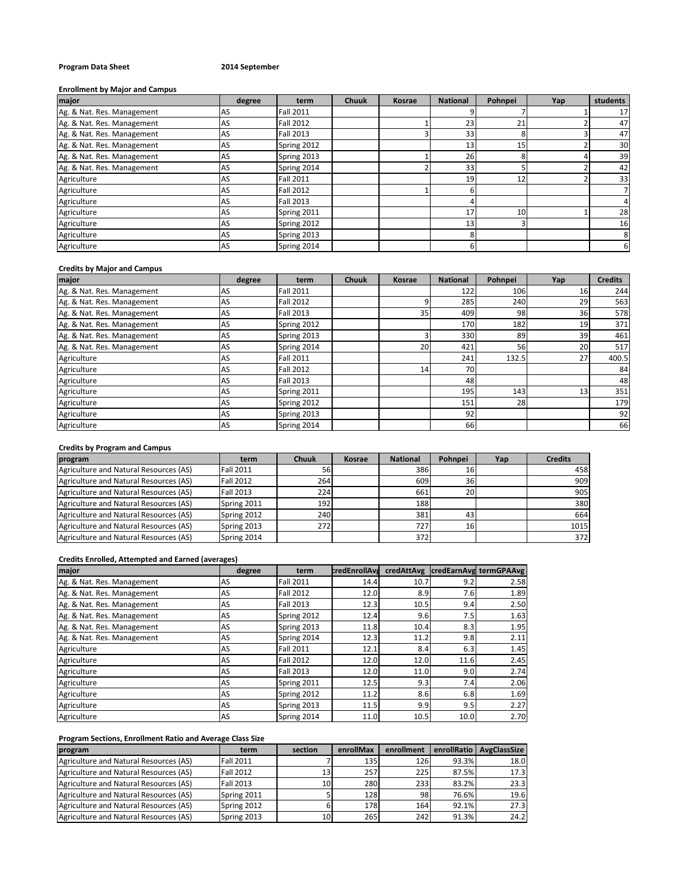# **Program Data Sheet 2014 September**

#### **Enrollment by Major and Campus**

| major                      | degree | term             | <b>Chuuk</b> | <b>Kosrae</b> | <b>National</b> | Pohnpei | Yap | students |
|----------------------------|--------|------------------|--------------|---------------|-----------------|---------|-----|----------|
| Ag. & Nat. Res. Management | AS     | <b>Fall 2011</b> |              |               |                 |         |     | 17       |
| Ag. & Nat. Res. Management | AS     | <b>Fall 2012</b> |              |               | 23              | 21      |     | 47       |
| Ag. & Nat. Res. Management | AS     | <b>Fall 2013</b> |              |               | 33              |         |     | 47       |
| Ag. & Nat. Res. Management | AS     | Spring 2012      |              |               | 13              | 15      |     | 30       |
| Ag. & Nat. Res. Management | AS     | Spring 2013      |              |               | 26              |         |     | 39       |
| Ag. & Nat. Res. Management | AS     | Spring 2014      |              |               | 33              |         |     | 42       |
| Agriculture                | AS     | <b>Fall 2011</b> |              |               | 19              | 12      |     | 33       |
| Agriculture                | AS     | <b>Fall 2012</b> |              |               | b               |         |     |          |
| Agriculture                | AS     | <b>Fall 2013</b> |              |               |                 |         |     | 4        |
| Agriculture                | AS     | Spring 2011      |              |               | 17              | 10      |     | 28       |
| Agriculture                | AS     | Spring 2012      |              |               | 13              |         |     | 16       |
| Agriculture                | AS     | Spring 2013      |              |               |                 |         |     | 8        |
| Agriculture                | AS     | Spring 2014      |              |               | b               |         |     | 6        |

### **Credits by Major and Campus**

| major                      | degree | term             | <b>Chuuk</b> | <b>Kosrae</b> | <b>National</b> | Pohnpei | Yap | <b>Credits</b> |
|----------------------------|--------|------------------|--------------|---------------|-----------------|---------|-----|----------------|
| Ag. & Nat. Res. Management | AS     | <b>Fall 2011</b> |              |               | 122             | 106     | 16  | 244            |
| Ag. & Nat. Res. Management | AS     | <b>Fall 2012</b> |              |               | 285             | 240     | 29  | 563            |
| Ag. & Nat. Res. Management | AS     | <b>Fall 2013</b> |              | 35            | 409             | 98      | 36  | 578            |
| Ag. & Nat. Res. Management | AS     | Spring 2012      |              |               | 170             | 182     | 19  | 371            |
| Ag. & Nat. Res. Management | AS     | Spring 2013      |              |               | 330             | 89      | 39  | 461            |
| Ag. & Nat. Res. Management | AS     | Spring 2014      |              | 20            | 421             | 56      | 20  | 517            |
| Agriculture                | AS     | <b>Fall 2011</b> |              |               | 241             | 132.5   | 27  | 400.5          |
| Agriculture                | AS     | <b>Fall 2012</b> |              | 14            | 70              |         |     | 84             |
| Agriculture                | AS     | <b>Fall 2013</b> |              |               | 48              |         |     | 48             |
| Agriculture                | AS     | Spring 2011      |              |               | 195             | 143     | 13  | 351            |
| Agriculture                | AS     | Spring 2012      |              |               | 151             | 28      |     | 179            |
| Agriculture                | AS     | Spring 2013      |              |               | 92              |         |     | 92             |
| Agriculture                | AS     | Spring 2014      |              |               | 66              |         |     | 66             |

# **Credits by Program and Campus**

| program                                | term             | <b>Chuuk</b> | <b>Kosrae</b> | <b>National</b> | Pohnpei         | Yap | <b>Credits</b> |
|----------------------------------------|------------------|--------------|---------------|-----------------|-----------------|-----|----------------|
| Agriculture and Natural Resources (AS) | <b>Fall 2011</b> | 56           |               | 386             | 16              |     | 458            |
| Agriculture and Natural Resources (AS) | <b>Fall 2012</b> | 264          |               | 609             | 36              |     | 909            |
| Agriculture and Natural Resources (AS) | <b>Fall 2013</b> | 224          |               | 661             | 20              |     | 905            |
| Agriculture and Natural Resources (AS) | Spring 2011      | 192          |               | 188             |                 |     | 380            |
| Agriculture and Natural Resources (AS) | Spring 2012      | 240          |               | 381             | 43              |     | 664            |
| Agriculture and Natural Resources (AS) | Spring 2013      | 272          |               | 727             | 16 <sub>1</sub> |     | 1015           |
| Agriculture and Natural Resources (AS) | Spring 2014      |              |               | 372             |                 |     | 372            |

# **Credits Enrolled, Attempted and Earned (averages)**

| major                      | degree | term             | credEnrollAvd |      |      | credAttAvg credEarnAvg termGPAAvg |
|----------------------------|--------|------------------|---------------|------|------|-----------------------------------|
| Ag. & Nat. Res. Management | AS     | <b>Fall 2011</b> | 14.4          | 10.7 | 9.2  | 2.58                              |
| Ag. & Nat. Res. Management | AS     | <b>Fall 2012</b> | 12.0          | 8.9  | 7.6  | 1.89                              |
| Ag. & Nat. Res. Management | AS     | <b>Fall 2013</b> | 12.3          | 10.5 | 9.4  | 2.50                              |
| Ag. & Nat. Res. Management | AS     | Spring 2012      | 12.4          | 9.6  | 7.5  | 1.63                              |
| Ag. & Nat. Res. Management | AS     | Spring 2013      | 11.8          | 10.4 | 8.3  | 1.95                              |
| Ag. & Nat. Res. Management | AS     | Spring 2014      | 12.3          | 11.2 | 9.8  | 2.11                              |
| Agriculture                | AS     | <b>Fall 2011</b> | 12.1          | 8.4  | 6.3  | 1.45                              |
| Agriculture                | AS     | <b>Fall 2012</b> | 12.0          | 12.0 | 11.6 | 2.45                              |
| Agriculture                | AS     | <b>Fall 2013</b> | 12.0          | 11.0 | 9.0  | 2.74                              |
| Agriculture                | AS     | Spring 2011      | 12.5          | 9.3  | 7.4  | 2.06                              |
| Agriculture                | AS     | Spring 2012      | 11.2          | 8.6  | 6.8  | 1.69                              |
| Agriculture                | AS     | Spring 2013      | 11.5          | 9.9  | 9.5  | 2.27                              |
| Agriculture                | AS     | Spring 2014      | 11.0          | 10.5 | 10.0 | 2.70                              |

# **Program Sections, Enrollment Ratio and Average Class Size**

| program                                | term             | section | enrollMax | enrollment |       | enrollRatio   AvgClassSize |
|----------------------------------------|------------------|---------|-----------|------------|-------|----------------------------|
| Agriculture and Natural Resources (AS) | <b>Fall 2011</b> |         | 135       | 126        | 93.3% | 18.0                       |
| Agriculture and Natural Resources (AS) | <b>Fall 2012</b> |         | 257       | 225        | 87.5% | 17.3                       |
| Agriculture and Natural Resources (AS) | <b>Fall 2013</b> | 10      | 280       | 233        | 83.2% | 23.3                       |
| Agriculture and Natural Resources (AS) | Spring 2011      |         | 128       | 98         | 76.6% | 19.6                       |
| Agriculture and Natural Resources (AS) | Spring 2012      |         | 178       | 164        | 92.1% | 27.3                       |
| Agriculture and Natural Resources (AS) | Spring 2013      | 10      | 265       | 242        | 91.3% | 24.2                       |